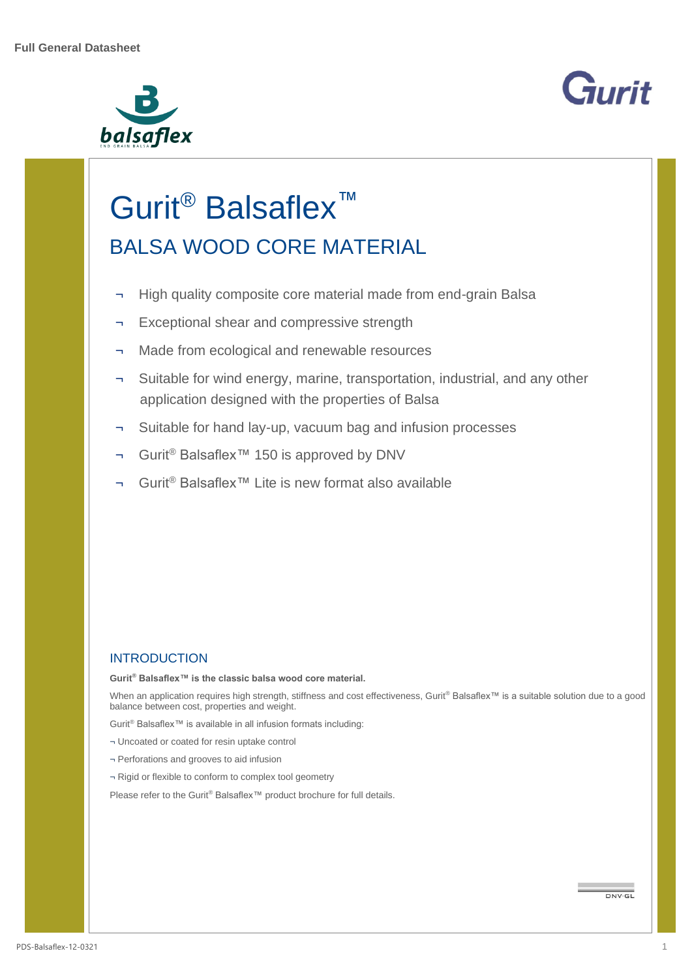



# Gurit<sup>®</sup> Balsaflex<sup>™</sup> BALSA WOOD CORE MATERIAL

- ¬ High quality composite core material made from end-grain Balsa
- ¬ Exceptional shear and compressive strength
- ¬ Made from ecological and renewable resources
- Suitable for wind energy, marine, transportation, industrial, and any other application designed with the properties of Balsa
- ¬ Suitable for hand lay-up, vacuum bag and infusion processes
- ¬ Gurit® Balsaflex™ 150 is approved by DNV
- ¬ Gurit® Balsaflex™ Lite is new format also available

## **INTRODUCTION**

**Gurit® Balsaflex™ is the classic balsa wood core material.**

When an application requires high strength, stiffness and cost effectiveness, Gurit® Balsaflex™ is a suitable solution due to a good balance between cost, properties and weight.

Gurit® Balsaflex™ is available in all infusion formats including:

- ¬ Uncoated or coated for resin uptake control
- ¬ Perforations and grooves to aid infusion
- ¬ Rigid or flexible to conform to complex tool geometry

Please refer to the Gurit® Balsaflex™ product brochure for full details.

 $\n *DNV·G1*\n$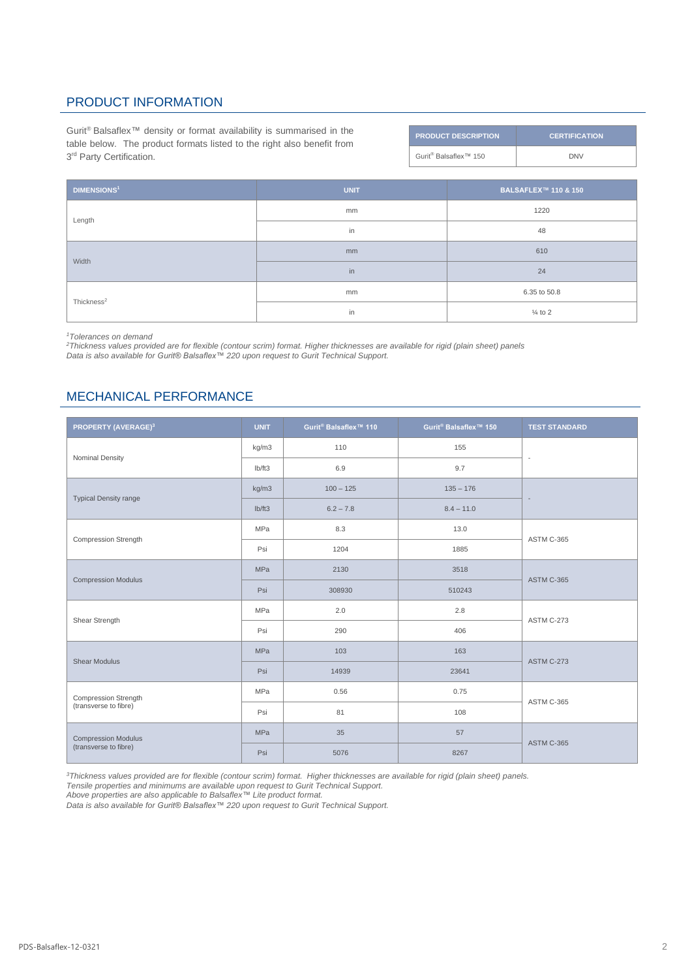## PRODUCT INFORMATION

Gurit® Balsaflex™ density or format availability is summarised in the table below. The product formats listed to the right also benefit from 3<sup>rd</sup> Party Certification.

| <b>PRODUCT DESCRIPTION</b>                    | <b>CERTIFICATION</b> |
|-----------------------------------------------|----------------------|
| Gurit <sup>®</sup> Balsaflex <sup>™</sup> 150 | <b>DNV</b>           |

| <b>DIMENSIONS<sup>1</sup></b> | <b>UNIT</b> | <b>BALSAFLEX™ 110 &amp; 150</b> |  |
|-------------------------------|-------------|---------------------------------|--|
| Length                        | mm          | 1220                            |  |
|                               | in          | 48                              |  |
| Width                         | mm          | 610                             |  |
|                               | in          | 24                              |  |
| Thickness <sup>2</sup>        | mm          | 6.35 to 50.8                    |  |
|                               | in          | $\frac{1}{4}$ to 2              |  |

*<sup>1</sup>Tolerances on demand*

*<sup>2</sup>Thickness values provided are for flexible (contour scrim) format. Higher thicknesses are available for rigid (plain sheet) panels Data is also available for Gurit® Balsaflex™ 220 upon request to Gurit Technical Support.*

## MECHANICAL PERFORMANCE

| PROPERTY (AVERAGE) <sup>3</sup>                      | <b>UNIT</b> | Gurit <sup>®</sup> Balsaflex <sup>™</sup> 110 | Gurit <sup>®</sup> Balsaflex <sup>™</sup> 150 | <b>TEST STANDARD</b>     |  |
|------------------------------------------------------|-------------|-----------------------------------------------|-----------------------------------------------|--------------------------|--|
| Nominal Density                                      | kg/m3       | 110                                           | 155                                           | $\sim$                   |  |
|                                                      | lb/ft3      | 6.9                                           | 9.7                                           |                          |  |
| <b>Typical Density range</b>                         | kg/m3       | $100 - 125$                                   | $135 - 176$                                   |                          |  |
|                                                      | lb/ft3      | $6.2 - 7.8$                                   | $8.4 - 11.0$                                  | $\overline{\phantom{a}}$ |  |
| <b>Compression Strength</b>                          | <b>MPa</b>  | 8.3                                           | 13.0                                          | ASTM C-365               |  |
|                                                      | Psi         | 1204                                          | 1885                                          |                          |  |
| <b>Compression Modulus</b>                           | <b>MPa</b>  | 2130                                          | 3518                                          | <b>ASTM C-365</b>        |  |
|                                                      | Psi         | 308930                                        | 510243                                        |                          |  |
| Shear Strength                                       | <b>MPa</b>  | 2.0                                           | 2.8                                           |                          |  |
|                                                      | Psi         | 290                                           | 406                                           | <b>ASTM C-273</b>        |  |
| <b>Shear Modulus</b>                                 | <b>MPa</b>  | 103                                           | 163                                           | <b>ASTM C-273</b>        |  |
|                                                      | Psi         | 14939                                         | 23641                                         |                          |  |
| <b>Compression Strength</b><br>(transverse to fibre) | MPa         | 0.56                                          | 0.75                                          |                          |  |
|                                                      | Psi         | 81                                            | 108                                           | <b>ASTM C-365</b>        |  |
| <b>Compression Modulus</b><br>(transverse to fibre)  | MPa         | 35                                            | 57                                            |                          |  |
|                                                      | Psi         | 5076                                          | 8267                                          | <b>ASTM C-365</b>        |  |

*<sup>3</sup>Thickness values provided are for flexible (contour scrim) format. Higher thicknesses are available for rigid (plain sheet) panels.* 

*Tensile properties and minimums are available upon request to Gurit Technical Support.*

*Above properties are also applicable to Balsaflex™ Lite product format.*

*Data is also available for Gurit® Balsaflex™ 220 upon request to Gurit Technical Support.*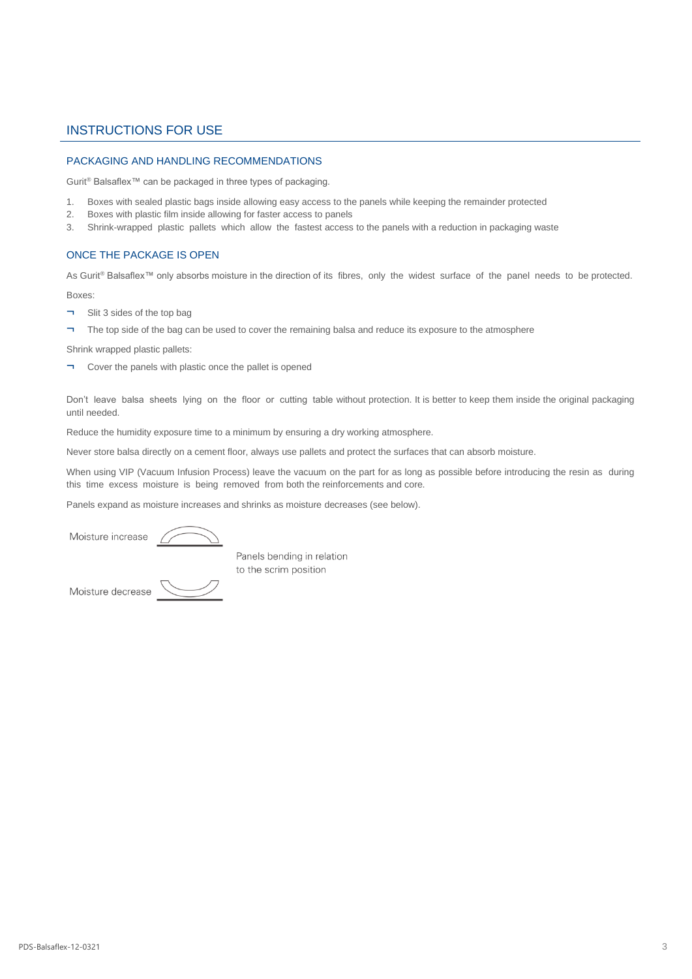### INSTRUCTIONS FOR USE

#### PACKAGING AND HANDLING RECOMMENDATIONS

Gurit® Balsaflex™ can be packaged in three types of packaging.

- 1. Boxes with sealed plastic bags inside allowing easy access to the panels while keeping the remainder protected
- 2. Boxes with plastic film inside allowing for faster access to panels
- 3. Shrink-wrapped plastic pallets which allow the fastest access to the panels with a reduction in packaging waste

#### ONCE THE PACKAGE IS OPEN

As Gurit® Balsaflex™ only absorbs moisture in the direction of its fibres, only the widest surface of the panel needs to be protected.

Boxes:

- ¬ Slit 3 sides of the top bag
- ¬ The top side of the bag can be used to cover the remaining balsa and reduce its exposure to the atmosphere

Shrink wrapped plastic pallets:

¬ Cover the panels with plastic once the pallet is opened

Don't leave balsa sheets lying on the floor or cutting table without protection. It is better to keep them inside the original packaging until needed.

Reduce the humidity exposure time to a minimum by ensuring a dry working atmosphere.

Never store balsa directly on a cement floor, always use pallets and protect the surfaces that can absorb moisture.

When using VIP (Vacuum Infusion Process) leave the vacuum on the part for as long as possible before introducing the resin as during this time excess moisture is being removed from both the reinforcements and core.

Panels expand as moisture increases and shrinks as moisture decreases (see below).

Moisture increase

to the scrim position

Moisture decrease



Panels bending in relation